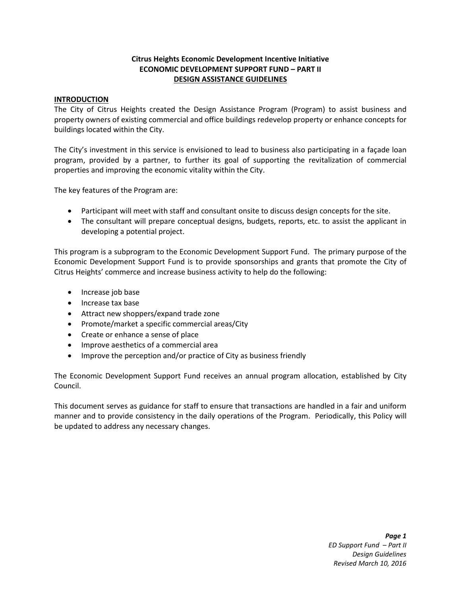# **Citrus Heights Economic Development Incentive Initiative ECONOMIC DEVELOPMENT SUPPORT FUND – PART II DESIGN ASSISTANCE GUIDELINES**

### **INTRODUCTION**

The City of Citrus Heights created the Design Assistance Program (Program) to assist business and property owners of existing commercial and office buildings redevelop property or enhance concepts for buildings located within the City.

The City's investment in this service is envisioned to lead to business also participating in a façade loan program, provided by a partner, to further its goal of supporting the revitalization of commercial properties and improving the economic vitality within the City.

The key features of the Program are:

- Participant will meet with staff and consultant onsite to discuss design concepts for the site.
- The consultant will prepare conceptual designs, budgets, reports, etc. to assist the applicant in developing a potential project.

This program is a subprogram to the Economic Development Support Fund. The primary purpose of the Economic Development Support Fund is to provide sponsorships and grants that promote the City of Citrus Heights' commerce and increase business activity to help do the following:

- Increase job base
- Increase tax base
- Attract new shoppers/expand trade zone
- Promote/market a specific commercial areas/City
- Create or enhance a sense of place
- Improve aesthetics of a commercial area
- Improve the perception and/or practice of City as business friendly

The Economic Development Support Fund receives an annual program allocation, established by City Council.

This document serves as guidance for staff to ensure that transactions are handled in a fair and uniform manner and to provide consistency in the daily operations of the Program. Periodically, this Policy will be updated to address any necessary changes.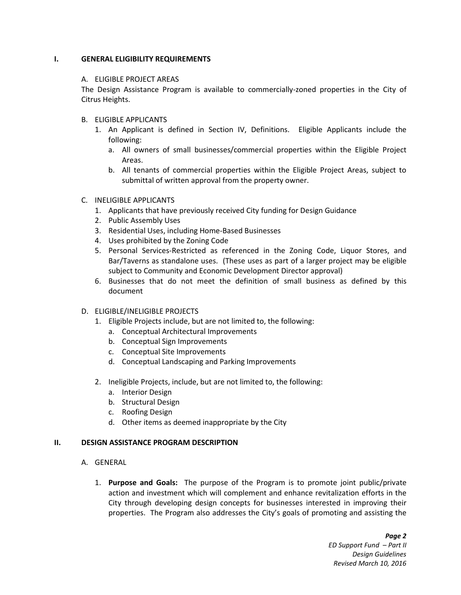### **I. GENERAL ELIGIBILITY REQUIREMENTS**

#### A. ELIGIBLE PROJECT AREAS

The Design Assistance Program is available to commercially-zoned properties in the City of Citrus Heights.

- B. ELIGIBLE APPLICANTS
	- 1. An Applicant is defined in Section IV, Definitions. Eligible Applicants include the following:
		- a. All owners of small businesses/commercial properties within the Eligible Project Areas.
		- b. All tenants of commercial properties within the Eligible Project Areas, subject to submittal of written approval from the property owner.
- C. INELIGIBLE APPLICANTS
	- 1. Applicants that have previously received City funding for Design Guidance
	- 2. Public Assembly Uses
	- 3. Residential Uses, including Home-Based Businesses
	- 4. Uses prohibited by the Zoning Code
	- 5. Personal Services-Restricted as referenced in the Zoning Code, Liquor Stores, and Bar/Taverns as standalone uses. (These uses as part of a larger project may be eligible subject to Community and Economic Development Director approval)
	- 6. Businesses that do not meet the definition of small business as defined by this document
- D. ELIGIBLE/INELIGIBLE PROJECTS
	- 1. Eligible Projects include, but are not limited to, the following:
		- a. Conceptual Architectural Improvements
		- b. Conceptual Sign Improvements
		- c. Conceptual Site Improvements
		- d. Conceptual Landscaping and Parking Improvements
	- 2. Ineligible Projects, include, but are not limited to, the following:
		- a. Interior Design
		- b. Structural Design
		- c. Roofing Design
		- d. Other items as deemed inappropriate by the City

#### **II. DESIGN ASSISTANCE PROGRAM DESCRIPTION**

- A. GENERAL
	- 1. **Purpose and Goals:** The purpose of the Program is to promote joint public/private action and investment which will complement and enhance revitalization efforts in the City through developing design concepts for businesses interested in improving their properties. The Program also addresses the City's goals of promoting and assisting the

*Page 2 ED Support Fund – Part II Design Guidelines Revised March 10, 2016*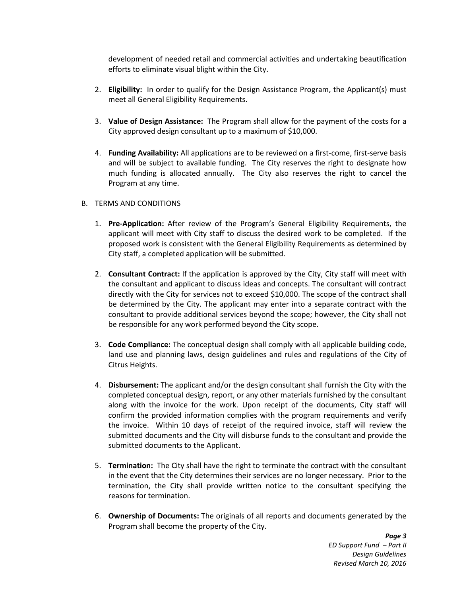development of needed retail and commercial activities and undertaking beautification efforts to eliminate visual blight within the City.

- 2. **Eligibility:** In order to qualify for the Design Assistance Program, the Applicant(s) must meet all General Eligibility Requirements.
- 3. **Value of Design Assistance:** The Program shall allow for the payment of the costs for a City approved design consultant up to a maximum of \$10,000.
- 4. **Funding Availability:** All applications are to be reviewed on a first-come, first-serve basis and will be subject to available funding. The City reserves the right to designate how much funding is allocated annually. The City also reserves the right to cancel the Program at any time.

### B. TERMS AND CONDITIONS

- 1. **Pre-Application:** After review of the Program's General Eligibility Requirements, the applicant will meet with City staff to discuss the desired work to be completed. If the proposed work is consistent with the General Eligibility Requirements as determined by City staff, a completed application will be submitted.
- 2. **Consultant Contract:** If the application is approved by the City, City staff will meet with the consultant and applicant to discuss ideas and concepts. The consultant will contract directly with the City for services not to exceed \$10,000. The scope of the contract shall be determined by the City. The applicant may enter into a separate contract with the consultant to provide additional services beyond the scope; however, the City shall not be responsible for any work performed beyond the City scope.
- 3. **Code Compliance:** The conceptual design shall comply with all applicable building code, land use and planning laws, design guidelines and rules and regulations of the City of Citrus Heights.
- 4. **Disbursement:** The applicant and/or the design consultant shall furnish the City with the completed conceptual design, report, or any other materials furnished by the consultant along with the invoice for the work. Upon receipt of the documents, City staff will confirm the provided information complies with the program requirements and verify the invoice. Within 10 days of receipt of the required invoice, staff will review the submitted documents and the City will disburse funds to the consultant and provide the submitted documents to the Applicant.
- 5. **Termination:** The City shall have the right to terminate the contract with the consultant in the event that the City determines their services are no longer necessary. Prior to the termination, the City shall provide written notice to the consultant specifying the reasons for termination.
- 6. **Ownership of Documents:** The originals of all reports and documents generated by the Program shall become the property of the City.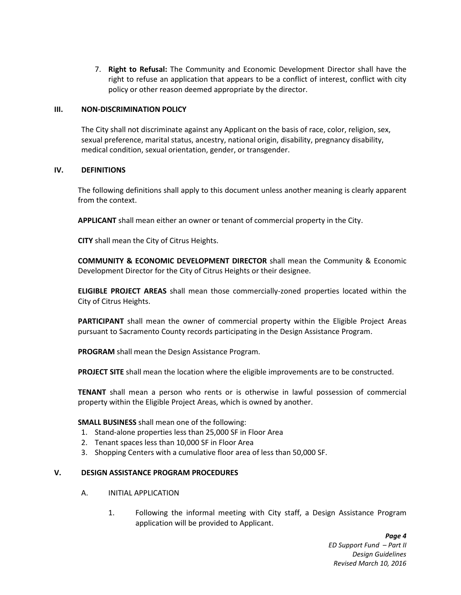7. **Right to Refusal:** The Community and Economic Development Director shall have the right to refuse an application that appears to be a conflict of interest, conflict with city policy or other reason deemed appropriate by the director.

### **III. NON-DISCRIMINATION POLICY**

The City shall not discriminate against any Applicant on the basis of race, color, religion, sex, sexual preference, marital status, ancestry, national origin, disability, pregnancy disability, medical condition, sexual orientation, gender, or transgender.

### **IV. DEFINITIONS**

The following definitions shall apply to this document unless another meaning is clearly apparent from the context.

**APPLICANT** shall mean either an owner or tenant of commercial property in the City.

**CITY** shall mean the City of Citrus Heights.

**COMMUNITY & ECONOMIC DEVELOPMENT DIRECTOR** shall mean the Community & Economic Development Director for the City of Citrus Heights or their designee.

**ELIGIBLE PROJECT AREAS** shall mean those commercially-zoned properties located within the City of Citrus Heights.

**PARTICIPANT** shall mean the owner of commercial property within the Eligible Project Areas pursuant to Sacramento County records participating in the Design Assistance Program.

**PROGRAM** shall mean the Design Assistance Program.

**PROJECT SITE** shall mean the location where the eligible improvements are to be constructed.

**TENANT** shall mean a person who rents or is otherwise in lawful possession of commercial property within the Eligible Project Areas, which is owned by another.

### **SMALL BUSINESS** shall mean one of the following:

- 1. Stand-alone properties less than 25,000 SF in Floor Area
- 2. Tenant spaces less than 10,000 SF in Floor Area
- 3. Shopping Centers with a cumulative floor area of less than 50,000 SF.

### **V. DESIGN ASSISTANCE PROGRAM PROCEDURES**

- A. INITIAL APPLICATION
	- 1. Following the informal meeting with City staff, a Design Assistance Program application will be provided to Applicant.

*Page 4 ED Support Fund – Part II Design Guidelines Revised March 10, 2016*